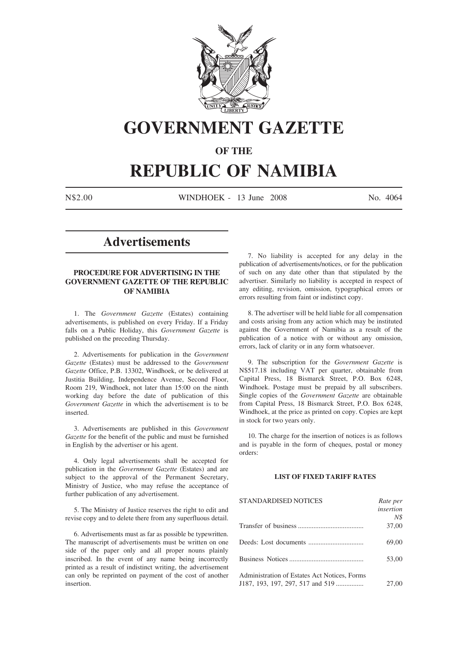

# **GOVERNMENT GAZETTE**

### **OF THE**

# **REPUBLIC OF NAMIBIA**

N\$2.00 WINDHOEK - 13 June 2008 No. 4064

# **Advertisements**

### **PROCEDURE FOR ADVERTISING IN THE GOVERNMENT GAZETTE OF THE REPUBLIC OF NAMIBIA**

1. The *Government Gazette* (Estates) containing advertisements, is published on every Friday. If a Friday falls on a Public Holiday, this *Government Gazette* is published on the preceding Thursday.

2. Advertisements for publication in the *Government Gazette* (Estates) must be addressed to the *Government Gazette* Office, P.B. 13302, Windhoek, or be delivered at Justitia Building, Independence Avenue, Second Floor, Room 219, Windhoek, not later than 15:00 on the ninth working day before the date of publication of this *Government Gazette* in which the advertisement is to be inserted.

3. Advertisements are published in this *Government Gazette* for the benefit of the public and must be furnished in English by the advertiser or his agent.

4. Only legal advertisements shall be accepted for publication in the *Government Gazette* (Estates) and are subject to the approval of the Permanent Secretary, Ministry of Justice, who may refuse the acceptance of further publication of any advertisement.

5. The Ministry of Justice reserves the right to edit and revise copy and to delete there from any superfluous detail.

6. Advertisements must as far as possible be typewritten. The manuscript of advertisements must be written on one side of the paper only and all proper nouns plainly inscribed. In the event of any name being incorrectly printed as a result of indistinct writing, the advertisement can only be reprinted on payment of the cost of another insertion.

7. No liability is accepted for any delay in the publication of advertisements/notices, or for the publication of such on any date other than that stipulated by the advertiser. Similarly no liability is accepted in respect of any editing, revision, omission, typographical errors or errors resulting from faint or indistinct copy.

8. The advertiser will be held liable for all compensation and costs arising from any action which may be instituted against the Government of Namibia as a result of the publication of a notice with or without any omission, errors, lack of clarity or in any form whatsoever.

9. The subscription for the *Government Gazette* is N\$517.18 including VAT per quarter, obtainable from Capital Press, 18 Bismarck Street, P.O. Box 6248, Windhoek. Postage must be prepaid by all subscribers. Single copies of the *Government Gazette* are obtainable from Capital Press, 18 Bismarck Street, P.O. Box 6248, Windhoek, at the price as printed on copy. Copies are kept in stock for two years only.

10. The charge for the insertion of notices is as follows and is payable in the form of cheques, postal or money orders:

#### **LIST OF FIXED TARIFF RATES**

| <b>STANDARDISED NOTICES</b>                  | Rate per  |
|----------------------------------------------|-----------|
|                                              | insertion |
|                                              | N\$       |
|                                              | 37,00     |
|                                              | 69,00     |
|                                              | 53,00     |
| Administration of Estates Act Notices, Forms |           |
| J187, 193, 197, 297, 517 and 519             | 27,00     |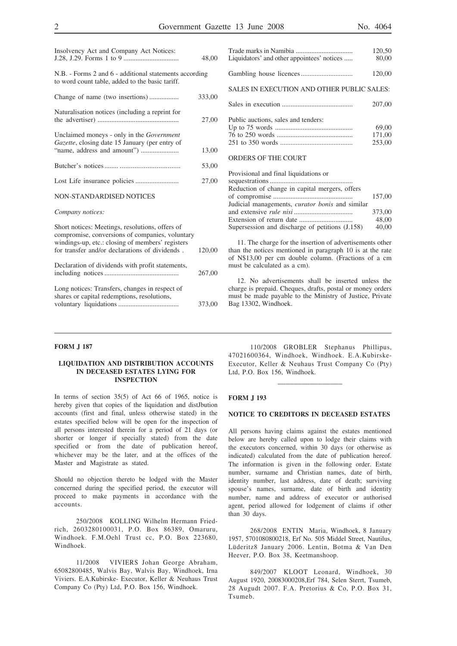|                                                                                                                                                                                                          | 48,00  |
|----------------------------------------------------------------------------------------------------------------------------------------------------------------------------------------------------------|--------|
| N.B. - Forms 2 and 6 - additional statements according<br>to word count table, added to the basic tariff.                                                                                                |        |
| Change of name (two insertions)                                                                                                                                                                          | 333,00 |
| Naturalisation notices (including a reprint for                                                                                                                                                          | 27,00  |
| Unclaimed moneys - only in the Government<br>Gazette, closing date 15 January (per entry of                                                                                                              | 13,00  |
|                                                                                                                                                                                                          | 53,00  |
|                                                                                                                                                                                                          | 27,00  |
| <b>NON-STANDARDISED NOTICES</b>                                                                                                                                                                          |        |
| Company notices:                                                                                                                                                                                         |        |
| Short notices: Meetings, resolutions, offers of<br>compromise, conversions of companies, voluntary<br>windings-up, etc.: closing of members' registers<br>for transfer and/or declarations of dividends. | 120,00 |
| Declaration of dividends with profit statements,                                                                                                                                                         | 267,00 |
| Long notices: Transfers, changes in respect of<br>shares or capital redemptions, resolutions,                                                                                                            | 373,00 |

Insolvency Act and Company Act Notices:

|                                            | 120.50 |
|--------------------------------------------|--------|
| Liquidators' and other appointees' notices | 80.00  |
|                                            | 120,00 |

SALES IN EXECUTION AND OTHER PUBLIC SALES:

|                                     | 207,00 |
|-------------------------------------|--------|
| Public auctions, sales and tenders: |        |
|                                     | 69.00  |
|                                     | 171.00 |
|                                     | 253,00 |
|                                     |        |

### ORDERS OF THE COURT

Provisional and final liquidations or sequestrations................................................ Reduction of change in capital mergers, offers of compromise .............................................. 157,00 Judicial managements, *curator bonis* and similar and extensive *rule nisi* .................................. 373,00

11. The charge for the insertion of advertisements other than the notices mentioned in paragraph 10 is at the rate of N\$13,00 per cm double column. (Fractions of a cm must be calculated as a cm).

Extension of return date ............................... 48,00 Supersession and discharge of petitions (J.158) 40,00

12. No advertisements shall be inserted unless the charge is prepaid. Cheques, drafts, postal or money orders must be made payable to the Ministry of Justice, Private Bag 13302, Windhoek.

#### **FORM J 187**

#### **LIQUIDATION AND DISTRIBUTION ACCOUNTS IN DECEASED ESTATES LYING FOR INSPECTION**

In terms of section 35(5) of Act 66 of 1965, notice is hereby given that copies of the liquidation and distJbution accounts (first and final, unless otherwise stated) in the estates specified below will be open for the inspection of all persons interested therein for a period of 21 days (or shorter or longer if specially stated) from the date specified or from the date of publication hereof, whichever may be the later, and at the offices of the Master and Magistrate as stated.

Should no objection thereto be lodged with the Master concerned during the specified period, the executor will proceed to make payments in accordance with the accounts.

250/2008 KOLLING Wilhelm Hermann Friedrich, 2603280100031, P.O. Box 86389, Omaruru, Windhoek. F.M.Oehl Trust cc, P.O. Box 223680, Windhoek.

11/2008 VIVIERS Johan George Abraham, 65082800485, Walvis Bay, Walvis Bay, Windhoek, Irna Viviers. E.A.Kubirske- Executor, Keller & Neuhaus Trust Company Co (Pty) Ltd, P.O. Box 156, Windhoek.

110/2008 GROBLER Stephanus Phillipus, 47021600364, Windhoek, Windhoek. E.A.Kubirske-Executor, Keller & Neuhaus Trust Company Co (Pty) Ltd, P.O. Box 156, Windhoek.

\_\_\_\_\_\_\_\_\_\_\_\_\_\_\_\_

#### **FORM J 193**

#### **NOTICE TO CREDITORS IN DECEASED ESTATES**

All persons having claims against the estates mentioned below are hereby called upon to lodge their claims with the executors concerned, within 30 days (or otherwise as indicated) calculated from the date of publication hereof. The information is given in the following order. Estate number, surname and Christian names, date of birth, identity number, last address, date of death; surviving spouse's names, surname, date of birth and identity number, name and address of executor or authorised agent, period allowed for lodgement of claims if other than 30 days.

268/2008 ENTIN Maria, Windhoek, 8 January 1957, 5701080800218, Erf No. 505 Middel Street, Nautilus, Lüderitz8 January 2006. Lentin, Botma & Van Den Heever, P.O. Box 38, Keetmanshoop.

849/2007 KLOOT Leonard, Windhoek, 30 August 1920, 20083000208,Erf 784, Selen Sterrt, Tsumeb, 28 Augudt 2007. F.A. Pretorius & Co, P.O. Box 31, Tsumeb.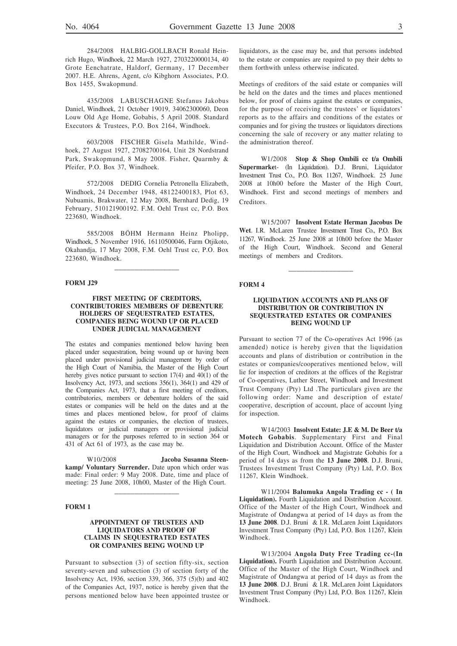284/2008 HALBIG-GOLLBACH Ronald Heinrich Hugo, Windhoek, 22 March 1927, 2703220000134, 40 Grote Eenchatrate, Haldorf, Germany, 17 December 2007. H.E. Ahrens, Agent, c/o Kibghorn Associates, P.O. Box 1455, Swakopmund.

435/2008 LABUSCHAGNE Stefanus Jakobus Daniel, Windhoek, 21 October 19019, 34062300060, Deon Louw Old Age Home, Gobabis, 5 April 2008. Standard Executors & Trustees, P.O. Box 2164, Windhoek.

603/2008 FISCHER Gisela Mathilde, Windhoek, 27 August 1927, 27082700164, Unit 28 Nordstrand Park, Swakopmund, 8 May 2008. Fisher, Quarmby & Pfeifer, P.O. Box 37, Windhoek.

572/2008 DEDIG Cornelia Petronella Elizabeth, Windhoek, 24 December 1948, 48122400183, Plot 63, Nubuamis, Brakwater, 12 May 2008, Bernhard Dedig, 19 February, 510121900192. F.M. Oehl Trust cc, P.O. Box 223680, Windhoek.

585/2008 BÖHM Hermann Heinz Pholipp, Windhoek, 5 November 1916, 16110500046, Farm Otjikoto, Okahandja, 17 May 2008, F.M. Oehl Trust cc, P.O. Box 223680, Windhoek.

\_\_\_\_\_\_\_\_\_\_\_\_\_\_\_\_

#### **FORM J29**

#### **FIRST MEETING OF CREDITORS, CONTRIBUTORIES MEMBERS OF DEBENTURE HOLDERS OF SEQUESTRATED ESTATES, COMPANIES BEING WOUND UP OR PLACED UNDER JUDICIAL MANAGEMENT**

The estates and companies mentioned below having been placed under sequestration, being wound up or having been placed under provisional judicial management by order of the High Court of Namibia, the Master of the High Court hereby gives notice pursuant to section 17(4) and 40(1) of the Insolvency Act, 1973, and sections 356(1), 364(1) and 429 of the Companies Act, 1973, that a first meeting of creditors, contributories, members or debenture holders of the said estates or companies will be held on the dates and at the times and places mentioned below, for proof of claims against the estates or companies, the election of trustees, liquidators or judicial managers or provisional judicial managers or for the purposes referred to in section 364 or 431 of Act 61 of 1973, as the case may be.

W10/2008 **Jacoba Susanna Steenkamp/ Voluntary Surrender.** Date upon which order was made: Final order: 9 May 2008. Date, time and place of meeting: 25 June 2008, 10h00, Master of the High Court.

\_\_\_\_\_\_\_\_\_\_\_\_\_\_\_\_

#### **FORM 1**

#### **APPOINTMENT OF TRUSTEES AND LIQUIDATORS AND PROOF OF CLAIMS IN SEQUESTRATED ESTATES OR COMPANIES BEING WOUND UP**

Pursuant to subsection (3) of section fifty-six, section seventy-seven and subsection (3) of section forty of the Insolvency Act, 1936, section 339, 366, 375 (5)(b) and 402 of the Companies Act, 1937, notice is hereby given that the persons mentioned below have been appointed trustee or

liquidators, as the case may be, and that persons indebted to the estate or companies are required to pay their debts to them forthwith unless otherwise indicated.

Meetings of creditors of the said estate or companies will be held on the dates and the times and places mentioned below, for proof of claims against the estates or companies, for the purpose of receiving the trustees' or liquidators' reports as to the affairs and conditions of the estates or companies and for giving the trustees or liquidators directions concerning the sale of recovery or any matter relating to the administration thereof.

W1/2008 **Stop & Shop Ombili cc t/a Ombili Supermarke**t- (In Liquidation). D.J. Bruni, Liquidator Investment Trust Co., P.O. Box 11267, Windhoek. 25 June 2008 at 10h00 before the Master of the High Court, Windhoek. First and second meetings of members and Creditors.

W15/2007 **Insolvent Estate Herman Jacobus De Wet**. I.R. McLaren Trustee Investment Trust Co., P.O. Box 11267, Windhoek. 25 June 2008 at 10h00 before the Master of the High Court, Windhoek. Second and General meetings of members and Creditors.

\_\_\_\_\_\_\_\_\_\_\_\_\_\_\_\_

#### **FORM 4**

#### **LIQUIDATION ACCOUNTS AND PLANS OF DISTRIBUTION OR CONTRIBUTION IN SEQUESTRATED ESTATES OR COMPANIES BEING WOUND UP**

Pursuant to section 77 of the Co-operatives Act 1996 (as amended) notice is hereby given that the liquidation accounts and plans of distribution or contribution in the estates or companies/cooperatives mentioned below, will lie for inspection of creditors at the offices of the Registrar of Co-operatives, Luther Street, Windhoek and Investment Trust Company (Pty) Ltd .The particulars given are the following order: Name and description of estate/ cooperative, description of account, place of account lying for inspection.

W14/2003 **Insolvent Estate: J.E & M. De Beer t/a Motech Gobabis**. Supplementary First and Final Liquidation and Distribution Account. Office of the Master of the High Court, Windhoek and Magistrate Gobabis for a period of 14 days as from the **13 June 2008**. D.J. Bruni, Trustees Investment Trust Company (Pty) Ltd, P.O. Box 11267, Klein Windhoek.

W11/2004 **Balumuka Angola Trading cc - ( In Liquidation).** Fourth Liquidation and Distribution Account. Office of the Master of the High Court, Windhoek and Magistrate of Ondangwa at period of 14 days as from the **13 June 2008**. D.J. Bruni & I.R. McLaren Joint Liquidators Investment Trust Company (Pty) Ltd, P.O. Box 11267, Klein Windhoek.

W13/2004 **Angola Duty Free Trading cc-(In Liquidation).** Fourth Liquidation and Distribution Account. Office of the Master of the High Court, Windhoek and Magistrate of Ondangwa at period of 14 days as from the **13 June 2008**. D.J. Bruni & I.R. McLaren Joint Liquidators Investment Trust Company (Pty) Ltd, P.O. Box 11267, Klein Windhoek.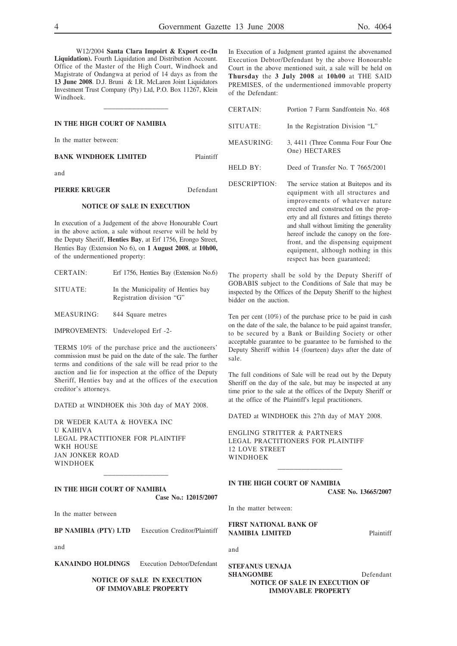W12/2004 **Santa Clara Impoirt & Export cc-(In Liquidation).** Fourth Liquidation and Distribution Account. Office of the Master of the High Court, Windhoek and Magistrate of Ondangwa at period of 14 days as from the **13 June 2008**. D.J. Bruni & I.R. McLaren Joint Liquidators Investment Trust Company (Pty) Ltd, P.O. Box 11267, Klein Windhoek.

\_\_\_\_\_\_\_\_\_\_\_\_\_\_\_\_

|                                    |           | $U_{L111111}$ | $1 \cup 1 \cup 11$ $1 \cup 111$       |
|------------------------------------|-----------|---------------|---------------------------------------|
| IN THE HIGH COURT OF NAMIBIA       |           | SITUATE:      | In the Registrati                     |
| In the matter between:             |           | MEASURING:    | 3, 4411 (Three C)<br>One) HECTAR      |
| <b>BANK WINDHOEK LIMITED</b>       | Plaintiff |               |                                       |
| and                                |           | HELD BY:      | Deed of Transfe                       |
| <b>PIERRE KRUGER</b>               | Defendant | DESCRIPTION:  | The service station<br>equipment with |
| <b>NOTICE OF SALE IN EXECUTION</b> |           |               | improvements<br>groated and cone      |

In execution of a Judgement of the above Honourable Court in the above action, a sale without reserve will be held by the Deputy Sheriff, **Henties Bay**, at Erf 1756, Erongo Street, Henties Bay (Extension No 6), on **1 August 2008**, at **10h00,** of the undermentioned property:

| CERTAIN: |  | Erf 1756, Henties Bay (Extension No.6) |  |
|----------|--|----------------------------------------|--|
|          |  |                                        |  |

SITUATE: In the Municipality of Henties bay Registration division "G"

MEASURING: 844 Square metres

IMPROVEMENTS: Undeveloped Erf -2-

TERMS 10% of the purchase price and the auctioneers' commission must be paid on the date of the sale. The further terms and conditions of the sale will be read prior to the auction and lie for inspection at the office of the Deputy Sheriff, Henties bay and at the offices of the execution creditor's attorneys.

DATED at WINDHOEK this 30th day of MAY 2008.

DR WEDER KAUTA & HOVEKA INC U KAIHIVA LEGAL PRACTITIONER FOR PLAINTIFF WKH HOUSE JAN JONKER ROAD WINDHOEK

**IN THE HIGH COURT OF NAMIBIA Case No.: 12015/2007**

\_\_\_\_\_\_\_\_\_\_\_\_\_\_\_\_

In the matter between

**BP NAMIBIA (PTY) LTD** Execution Creditor/Plaintiff

and

and

**KANAINDO HOLDINGS** Execution Debtor/Defendant

**NOTICE OF SALE IN EXECUTION OF IMMOVABLE PROPERTY**

In Execution of a Judgment granted against the abovenamed Execution Debtor/Defendant by the above Honourable Court in the above mentioned suit, a sale will be held on **Thursday** the **3 July 2008** at **10h00** at THE SAID PREMISES, of the undermentioned immovable property of the Defendant:

| <b>CERTAIN:</b> | Portion 7 Farm Sandfontein No. 468                                                                                                                                                                                                                                                           |
|-----------------|----------------------------------------------------------------------------------------------------------------------------------------------------------------------------------------------------------------------------------------------------------------------------------------------|
| SITUATE:        | In the Registration Division "L"                                                                                                                                                                                                                                                             |
| MEASURING:      | 3, 4411 (Three Comma Four Four One<br>One) HECTARES                                                                                                                                                                                                                                          |
| HELD BY:        | Deed of Transfer No. T 7665/2001                                                                                                                                                                                                                                                             |
| DESCRIPTION:    | The service station at Buitepos and its<br>equipment with all structures and<br>improvements of whatever nature<br>erected and constructed on the prop-<br>erty and all fixtures and fittings thereto<br>and shall without limiting the generality<br>hereof include the canopy on the fore- |

The property shall be sold by the Deputy Sheriff of GOBABIS subject to the Conditions of Sale that may be inspected by the Offices of the Deputy Sheriff to the highest bidder on the auction.

front, and the dispensing equipment equipment, although nothing in this respect has been guaranteed;

Ten per cent (10%) of the purchase price to be paid in cash on the date of the sale, the balance to be paid against transfer, to be secured by a Bank or Building Society or other acceptable guarantee to be guarantee to be furnished to the Deputy Sheriff within 14 (fourteen) days after the date of sale.

The full conditions of Sale will be read out by the Deputy Sheriff on the day of the sale, but may be inspected at any time prior to the sale at the offices of the Deputy Sheriff or at the office of the Plaintiff's legal practitioners.

DATED at WINDHOEK this 27th day of MAY 2008.

ENGLING STRITTER & PARTNERS LEGAL PRACTITIONERS FOR PLAINTIFF 12 LOVE STREET WINDHOEK \_\_\_\_\_\_\_\_\_\_\_\_\_\_\_\_

**IN THE HIGH COURT OF NAMIBIA**

**CASE No. 13665/2007**

In the matter between:

**FIRST NATIONAL BANK OF NAMIBIA LIMITED** Plaintiff

**STEFANUS UENAJA SHANGOMBE** Defendant **NOTICE OF SALE IN EXECUTION OF IMMOVABLE PROPERTY**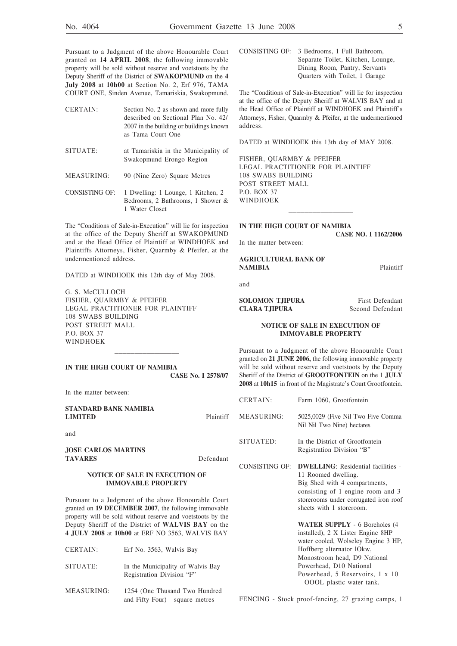Pursuant to a Judgment of the above Honourable Court granted on **14 APRIL 2008**, the following immovable property will be sold without reserve and voetstoots by the Deputy Sheriff of the District of **SWAKOPMUND** on the **4 July 2008** at **10h00** at Section No. 2, Erf 976, TAMA COURT ONE, Sinden Avenue, Tamariskia, Swakopmund.

- CERTAIN: Section No. 2 as shown and more fully described on Sectional Plan No. 42/ 2007 in the building or buildings known as Tama Court One
- SITUATE: at Tamariskia in the Municipality of Swakopmund Erongo Region
- MEASURING: 90 (Nine Zero) Square Metres
- CONSISTING OF: 1 Dwelling: 1 Lounge, 1 Kitchen, 2 Bedrooms, 2 Bathrooms, 1 Shower & 1 Water Closet

The "Conditions of Sale-in-Execution" will lie for inspection at the office of the Deputy Sheriff at SWAKOPMUND and at the Head Office of Plaintiff at WINDHOEK and Plaintiffs Attorneys, Fisher, Quarmby & Pfeifer, at the undermentioned address.

DATED at WINDHOEK this 12th day of May 2008.

G. S. McCULLOCH FISHER, QUARMBY & PFEIFER LEGAL PRACTITIONER FOR PLAINTIFF 108 SWABS BUILDING POST STREET MALL P.O. BOX 37 WINDHOEK

**IN THE HIGH COURT OF NAMIBIA CASE No. I 2578/07**

\_\_\_\_\_\_\_\_\_\_\_\_\_\_\_\_

In the matter between:

**STANDARD BANK NAMIBIA LIMITED** Plaintiff

and

**JOSE CARLOS MARTINS TAVARES** Defendant

#### **NOTICE OF SALE IN EXECUTION OF IMMOVABLE PROPERTY**

Pursuant to a Judgment of the above Honourable Court granted on **19 DECEMBER 2007**, the following immovable property will be sold without reserve and voetstoots by the Deputy Sheriff of the District of **WALVIS BAY** on the **4 JULY 2008** at **10h00** at ERF NO 3563, WALVIS BAY

- CERTAIN: Erf No. 3563, Walvis Bay SITUATE: In the Municipality of Walvis Bay Registration Division "F"
- MEASURING: 1254 (One Thusand Two Hundred and Fifty Four) square metres

CONSISTING OF: 3 Bedrooms, 1 Full Bathroom, Separate Toilet, Kitchen, Lounge, Dining Room, Pantry, Servants Quarters with Toilet, 1 Garage

The "Conditions of Sale-in-Execution" will lie for inspection at the office of the Deputy Sheriff at WALVIS BAY and at the Head Office of Plaintiff at WINDHOEK and Plaintiff's Attorneys, Fisher, Quarmby & Pfeifer, at the undermentioned address.

DATED at WINDHOEK this 13th day of MAY 2008.

\_\_\_\_\_\_\_\_\_\_\_\_\_\_\_\_

FISHER, QUARMBY & PFEIFER LEGAL PRACTITIONER FOR PLAINTIFF 108 SWABS BUILDING POST STREET MALL P.O. BOX 37 **WINDHOFK** 

#### **IN THE HIGH COURT OF NAMIBIA**

**CASE NO. I 1162/2006**

In the matter between:

**AGRICULTURAL BANK OF NAMIBIA** Plaintiff

and

**SOLOMON TJIPURA** First Defendant **CLARA TJIPURA** Second Defendant

#### **NOTICE OF SALE IN EXECUTION OF IMMOVABLE PROPERTY**

Pursuant to a Judgment of the above Honourable Court granted on **21 JUNE 2006,** the following immovable property will be sold without reserve and voetstoots by the Deputy Sheriff of the District of **GROOTFONTEIN** on the 1 **JULY 2008** at **10h15** in front of the Magistrate's Court Grootfontein.

| <b>CERTAIN:</b> | Farm 1060, Grootfontein                                                                                                                                                                                                                                                  |
|-----------------|--------------------------------------------------------------------------------------------------------------------------------------------------------------------------------------------------------------------------------------------------------------------------|
| MEASURING:      | 5025,0029 (Five Nil Two Five Comma<br>Nil Nil Two Nine) hectares                                                                                                                                                                                                         |
| SITUATED:       | In the District of Grootfontein<br>Registration Division "B"                                                                                                                                                                                                             |
| CONSISTING OF:  | <b>DWELLING:</b> Residential facilities -<br>11 Roomed dwelling.<br>Big Shed with 4 compartments,<br>consisting of 1 engine room and 3<br>storerooms under corrugated iron roof<br>sheets with 1 storeroom.                                                              |
|                 | <b>WATER SUPPLY - 6 Boreholes (4)</b><br>installed), 2 X Lister Engine 8HP<br>water cooled, Wolseley Engine 3 HP,<br>Hoffberg alternator lOkw,<br>Monostroom head, D9 National<br>Powerhead, D10 National<br>Powerhead, 5 Reservoirs, 1 x 10<br>OOOL plastic water tank. |

FENCING - Stock proof-fencing, 27 grazing camps, 1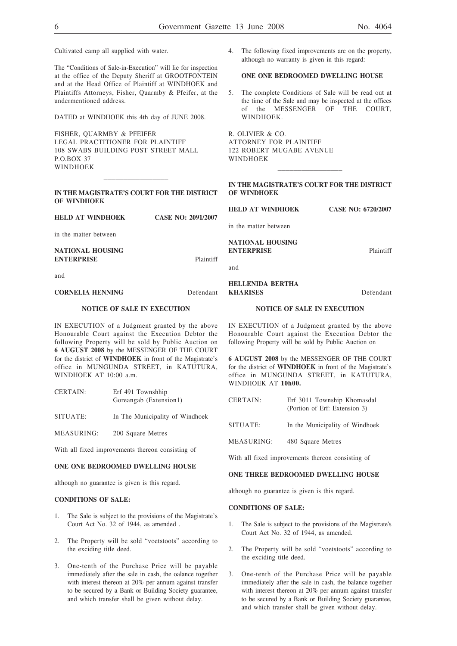Cultivated camp all supplied with water.

The "Conditions of Sale-in-Execution" will lie for inspection at the office of the Deputy Sheriff at GROOTFONTEIN and at the Head Office of Plaintiff at WINDHOEK and Plaintiffs Attorneys, Fisher, Quarmby & Pfeifer, at the undermentioned address.

DATED at WINDHOEK this 4th day of JUNE 2008.

FISHER, QUARMBY & PFEIFER LEGAL PRACTITIONER FOR PLAINTIFF 108 SWABS BUILDING POST STREET MALL P.O.BOX 37 WINDHOEK

\_\_\_\_\_\_\_\_\_\_\_\_\_\_\_\_

**IN THE MAGISTRATE'S COURT FOR THE DISTRICT OF WINDHOEK**

**HELD AT WINDHOEK CASE NO: 2091/2007** 

in the matter between

**NATIONAL HOUSING ENTERPRISE** Plaintiff

and

#### **CORNELIA HENNING** Defendant

#### **NOTICE OF SALE IN EXECUTION**

IN EXECUTION of a Judgment granted by the above Honourable Court against the Execution Debtor the following Property will be sold by Public Auction on **6 AUGUST 2008** by the MESSENGER OF THE COURT for the district of **WINDHOEK** in front of the Magistrate's office in MUNGUNDA STREET, in KATUTURA, WINDHOEK AT 10:00 a.m.

| CERTAIN: | Erf 491 Townshhip      |
|----------|------------------------|
|          | Goreangab (Extension1) |

- SITUATE: In The Municipality of Windhoek
- MEASURING: 200 Square Metres

With all fixed improvements thereon consisting of

#### **ONE ONE BEDROOMED DWELLING HOUSE**

although no guarantee is given is this regard.

#### **CONDITIONS OF SALE:**

- 1. The Sale is subject to the provisions of the Magistrate's Court Act No. 32 of 1944, as amended .
- 2. The Property will be sold "voetstoots" according to the exciding title deed.
- 3. One-tenth of the Purchase Price will be payable immediately after the sale in cash, the oalance together with interest thereon at 20% per annum against transfer to be secured by a Bank or Building Society guarantee, and which transfer shall be given without delay.

4. The following fixed improvements are on the property, although no warranty is given in this regard:

### **ONE ONE BEDROOMED DWELLING HOUSE**

5. The complete Conditions of Sale will be read out at the time of the Sale and may be inspected at the offices of the MESSENGER OF THE COURT, WINDHOEK.

R. OLIVIER & CO. ATTORNEY FOR PLAINTIFF 122 ROBERT MUGABE AVENUE WINDHOEK

| IN THE MAGISTRATE'S COURT FOR THE DISTRICT |  |
|--------------------------------------------|--|
| OF WINDHOEK                                |  |

\_\_\_\_\_\_\_\_\_\_\_\_\_\_\_\_

**HELD AT WINDHOEK CASE NO: 6720/2007**

in the matter between

**NATIONAL HOUSING ENTERPRISE** Plaintiff

and

#### **HELLENIDA BERTHA KHARISES** Defendant

#### **NOTICE OF SALE IN EXECUTION**

IN EXECUTION of a Judgment granted by the above Honourable Court against the Execution Debtor the following Property will be sold by Public Auction on

**6 AUGUST 2008** by the MESSENGER OF THE COURT for the district of **WINDHOEK** in front of the Magistrate's office in MUNGUNDA STREET, in KATUTURA, WINDHOEK AT **10h00.**

| <b>CERTAIN:</b> | Erf 3011 Township Khomasdal<br>(Portion of Erf: Extension 3) |
|-----------------|--------------------------------------------------------------|
| SITUATE:        | In the Municipality of Windhoek                              |
| MEASURING:      | 480 Square Metres                                            |

With all fixed improvements thereon consisting of

#### **ONE THREE BEDROOMED DWELLING HOUSE**

although no guarantee is given is this regard.

#### **CONDITIONS OF SALE:**

- 1. The Sale is subject to the provisions of the Magistrate's Court Act No. 32 of 1944, as amended.
- 2. The Property will be sold "voetstoots" according to the exciding title deed.
- 3. One-tenth of the Purchase Price will be payable immediately after the sale in cash, the balance together with interest thereon at 20% per annum against transfer to be secured by a Bank or Building Society guarantee, and which transfer shall be given without delay.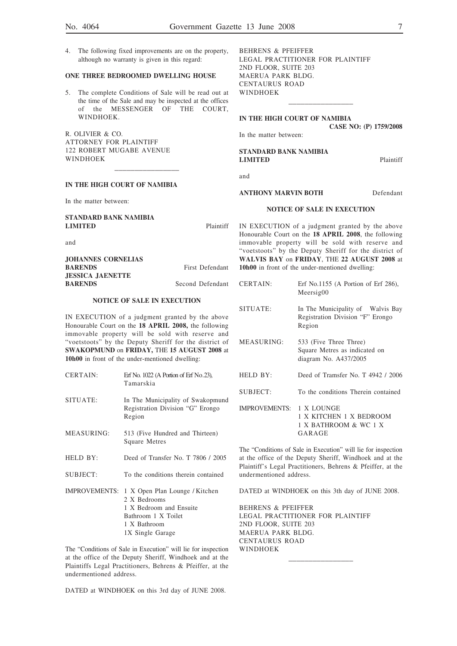**CASE NO: (P) 1759/2008**

4. The following fixed improvements are on the property, although no warranty is given in this regard:

#### **ONE THREE BEDROOMED DWELLING HOUSE**

5. The complete Conditions of Sale will be read out at the time of the Sale and may be inspected at the offices of the MESSENGER OF THE COURT, WINDHOEK.

\_\_\_\_\_\_\_\_\_\_\_\_\_\_\_\_

R. OLIVIER & CO. ATTORNEY FOR PLAINTIFF 122 ROBERT MUGABE AVENUE WINDHOEK

#### **IN THE HIGH COURT OF NAMIBIA**

In the matter between:

BEHRENS & PFEIFFER LEGAL PRACTITIONER FOR PLAINTIFF 2ND FLOOR, SUITE 203 MAERUA PARK BLDG. CENTAURUS ROAD WINDHOEK \_\_\_\_\_\_\_\_\_\_\_\_\_\_\_\_

#### **IN THE HIGH COURT OF NAMIBIA**

In the matter between:

#### **STANDARD BANK NAMIBIA LIMITED** Plaintiff

| <b>STANDARD BANK NAMIBIA</b><br><b>LIMITED</b> | Plaintiff        |
|------------------------------------------------|------------------|
| and                                            |                  |
| <b>JOHANNES CORNELIAS</b>                      |                  |
| <b>BARENDS</b>                                 | First Defendant  |
| <b>JESSICA JAENETTE</b>                        |                  |
| <b>BARENDS</b>                                 | Second Defendant |

#### **NOTICE OF SALE IN EXECUTION**

IN EXECUTION of a judgment granted by the above Honourable Court on the **18 APRIL 2008,** the following immovable property will be sold with reserve and "voetstoots" by the Deputy Sheriff for the district of **SWAKOPMUND** on **FRIDAY,** THE **15 AUGUST 2008** at **10h00** in front of the under-mentioned dwelling:

| <b>CERTAIN:</b>      | Erf No. $1022$ (A Portion of Erf No.23),<br>Tamarskia                                                                                |
|----------------------|--------------------------------------------------------------------------------------------------------------------------------------|
| SITUATE:             | In The Municipality of Swakopmund<br>Registration Division "G" Erongo<br>Region                                                      |
| MEASURING:           | 513 (Five Hundred and Thirteen)<br>Square Metres                                                                                     |
| HELD BY:             | Deed of Transfer No. T 7806 / 2005                                                                                                   |
| <b>SUBJECT:</b>      | To the conditions therein contained                                                                                                  |
| <b>IMPROVEMENTS:</b> | 1 X Open Plan Lounge / Kitchen<br>2 X Bedrooms<br>1 X Bedroom and Ensuite<br>Bathroom 1 X Toilet<br>1 X Bathroom<br>1X Single Garage |

The "Conditions of Sale in Execution" will lie for inspection at the office of the Deputy Sheriff, Windhoek and at the Plaintiffs Legal Practitioners, Behrens & Pfeiffer, at the undermentioned address.

DATED at WINDHOEK on this 3rd day of JUNE 2008.

and **ANTHONY MARVIN BOTH** Defendant **NOTICE OF SALE IN EXECUTION** IN EXECUTION of a judgment granted by the above Honourable Court on the **18 APRIL 2008**, the following immovable property will be sold with reserve and

"voetstoots" by the Deputy Sheriff for the district of **WALVIS BAY** on **FRIDAY**, THE **22 AUGUST 2008** at **10h00** in front of the under-mentioned dwelling:

CERTAIN: Erf No.1155 (A Portion of Erf 286), Meersig00

SITUATE: In The Municipality of Walvis Bay Registration Division "F" Erongo Region

MEASURING: 533 (Five Three Three) Square Metres as indicated on diagram No. A437/2005 HELD BY: Deed of Tramsfer No. T 4942 / 2006

SUBJECT: To the conditions Therein contained

IMPROVEMENTS: 1 X LOUNGE 1 X KITCHEN 1 X BEDROOM 1 X BATHROOM & WC 1 X GARAGE

The "Conditions of Sale in Execution" will lie for inspection at the office of the Deputy Sheriff, Windhoek and at the Plaintiff's Legal Practitioners, Behrens & Pfeiffer, at the undermentioned address.

DATED at WINDHOEK on this 3th day of JUNE 2008.

\_\_\_\_\_\_\_\_\_\_\_\_\_\_\_\_

BEHRENS & PFEIFFER LEGAL PRACTITIONER FOR PLAINTIFF 2ND FLOOR, SUITE 203 MAERUA PARK BLDG. CENTAURUS ROAD WINDHOEK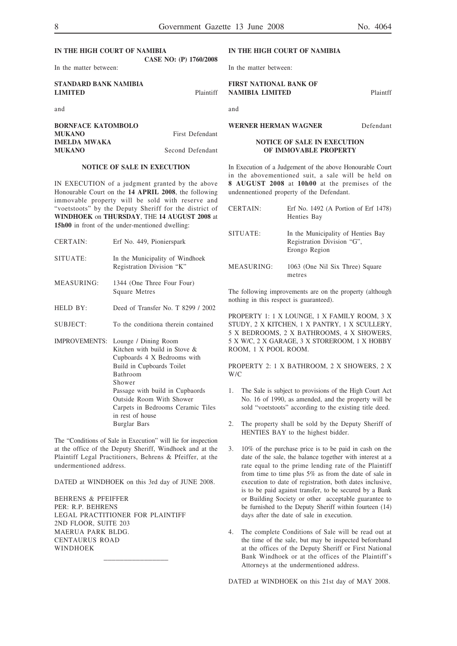| IN THE HIGH COURT OF NAMIBIA                   | CASE NO: (P) 1760/2008 | I١     |
|------------------------------------------------|------------------------|--------|
| In the matter between:                         |                        | In     |
| <b>STANDARD BANK NAMIBIA</b><br><b>LIMITED</b> | Plaintiff              | F<br>N |
| and                                            |                        | aı     |

**BORNFACE KATOMBOLO MUKANO** First Defendant **IMELDA MWAKA MUKANO** Second Defendant

#### **NOTICE OF SALE IN EXECUTION**

IN EXECUTION of a judgment granted by the above Honourable Court on the **14 APRIL 2008**, the following immovable property will be sold with reserve and "voetstoots" by the Deputy Sheriff for the district of **WINDHOEK** on **THURSDAY**, THE **14 AUGUST 2008** at **15h00** in front of the under-mentioned dwelling:

| <b>CERTAIN:</b>      | Erf No. 449, Pionierspark                                                                                                                                                                              |
|----------------------|--------------------------------------------------------------------------------------------------------------------------------------------------------------------------------------------------------|
| SITUATE:             | In the Municipality of Windhoek<br>Registration Division "K"                                                                                                                                           |
| MEASURING:           | 1344 (One Three Four Four)<br><b>Square Metres</b>                                                                                                                                                     |
| HELD BY:             | Deed of Transfer No. T 8299 / 2002                                                                                                                                                                     |
| <b>SUBJECT:</b>      | To the conditiona therein contained                                                                                                                                                                    |
| <b>IMPROVEMENTS:</b> | Lounge / Dining Room<br>Kitchen with build in Stove &<br>Cupboards 4 X Bedrooms with<br>Build in Cupboards Toilet<br>Bathroom<br>Shower<br>Passage with build in Cupbaords<br>Outside Room With Shower |

The "Conditions of Sale in Execution" will lie for inspection at the office of the Deputy Sheriff, Windhoek and at the Plaintiff Legal Practitioners, Behrens & Pfeiffer, at the undermentioned address.

in rest of house Burglar Bars

Carpets in Bedrooms Ceramic Tiles

DATED at WINDHOEK on this 3rd day of JUNE 2008.

\_\_\_\_\_\_\_\_\_\_\_\_\_\_\_\_

BEHRENS & PFEIFFER PER: R.P. BEHRENS LEGAL PRACTITIONER FOR PLAINTIFF 2ND FLOOR, SUITE 203 MAERUA PARK BLDG. CENTAURUS ROAD WINDHOEK

#### **IN THE HIGH COURT OF NAMIBIA**

the matter between:

#### **FIRST NATIONAL BANK OF NAMIBIA LIMITED** Plaintff

and

**WERNER HERMAN WAGNER** Defendant

#### **NOTICE OF SALE IN EXECUTION OF IMMOVABLE PROPERTY**

In Execution of a Judgement of the above Honourable Court in the abovementioned suit, a sale will be held on **8 AUGUST 2008** at **10h00** at the premises of the undennentioned property of the Defendant.

| CERTAIN:   | Erf No. 1492 (A Portion of Erf 1478)<br>Henties Bay                               |
|------------|-----------------------------------------------------------------------------------|
| SITUATE:   | In the Municipality of Henties Bay<br>Registration Division "G",<br>Erongo Region |
| MEASURING: | 1063 (One Nil Six Three) Square<br>metres                                         |

The following improvements are on the property (although nothing in this respect is guaranteed).

PROPERTY 1: 1 X LOUNGE, 1 X FAMILY ROOM, 3 X STUDY, 2 X KITCHEN, 1 X PANTRY, 1 X SCULLERY, 5 X BEDROOMS, 2 X BATHROOMS, 4 X SHOWERS, 5 X W/C, 2 X GARAGE, 3 X STOREROOM, 1 X HOBBY ROOM, 1 X POOL ROOM.

PROPERTY 2: 1 X BATHROOM, 2 X SHOWERS, 2 X W/C

- 1. The Sale is subject to provisions of the High Court Act No. 16 of 1990, as amended, and the property will be sold "voetstoots" according to the existing title deed.
- 2. The property shall be sold by the Deputy Sheriff of HENTIES BAY to the highest bidder.
- 3. 10% of the purchase price is to be paid in cash on the date of the sale, the balance together with interest at a rate equal to the prime lending rate of the Plaintiff from time to time plus 5% as from the date of sale in execution to date of registration, both dates inclusive, is to be paid against transfer, to be secured by a Bank or Building Society or other acceptable guarantee to be furnished to the Deputy Sheriff within fourteen (14) days after the date of sale in execution.
- 4. The complete Conditions of Sale will be read out at the time of the sale, but may be inspected beforehand at the offices of the Deputy Sheriff or First National Bank Windhoek or at the offices of the Plaintiff's Attorneys at the undermentioned address.

DATED at WINDHOEK on this 21st day of MAY 2008.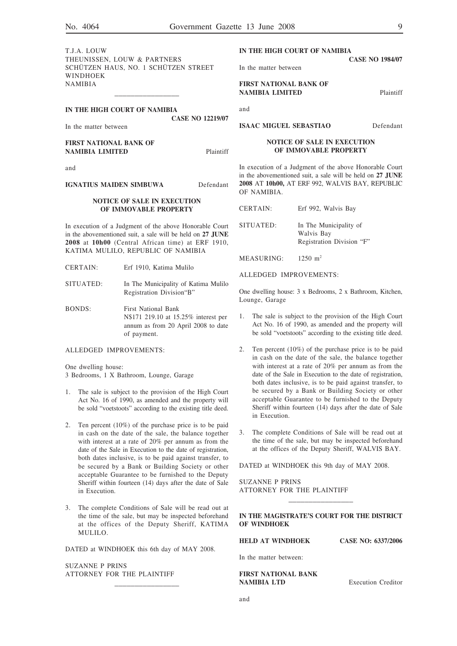T.J.A. LOUW THEUNISSEN, LOUW & PARTNERS SCHÜTZEN HAUS, NO. 1 SCHÜTZEN STREET WINDHOEK NAMIBIA

| IN THE HIGH COURT OF NAMIBIA                            |                         |           |
|---------------------------------------------------------|-------------------------|-----------|
| In the matter between                                   | <b>CASE NO 12219/07</b> |           |
| <b>FIRST NATIONAL BANK OF</b><br><b>NAMIBIA LIMITED</b> |                         | Plaintiff |
| $\sim$ $\sim$                                           |                         |           |

\_\_\_\_\_\_\_\_\_\_\_\_\_\_\_\_

and

#### **IGNATIUS MAIDEN SIMBUWA** Defendant

#### **NOTICE OF SALE IN EXECUTION OF IMMOVABLE PROPERTY**

In execution of a Judgment of the above Honorable Court in the abovementioned suit, a sale will be held on **27 JUNE 2008** at **10h00** (Central African time) at ERF 1910, KATIMA MULILO, REPUBLIC OF NAMIBIA

- CERTAIN: Erf 1910, Katima Mulilo
- SITUATED: In The Municipality of Katima Mulilo Registration Division"B"
- BONDS: First National Bank N\$171 219.10 at 15.25% interest per annum as from 20 April 2008 to date of payment.

#### ALLEDGED IMPROVEMENTS:

One dwelling house:

3 Bedrooms, 1 X Bathroom, Lounge, Garage

- 1. The sale is subject to the provision of the High Court Act No. 16 of 1990, as amended and the property will be sold "voetstoots" according to the existing title deed.
- 2. Ten percent (10%) of the purchase price is to be paid in cash on the date of the sale, the balance together with interest at a rate of 20% per annum as from the date of the Sale in Execution to the date of registration, both dates inclusive, is to be paid against transfer, to be secured by a Bank or Building Society or other acceptable Guarantee to be furnished to the Deputy Sheriff within fourteen (14) days after the date of Sale in Execution.
- 3. The complete Conditions of Sale will be read out at the time of the sale, but may be inspected beforehand at the offices of the Deputy Sheriff, KATIMA MULILO.

DATED at WINDHOEK this 6th day of MAY 2008.

\_\_\_\_\_\_\_\_\_\_\_\_\_\_\_\_

SUZANNE P PRINS ATTORNEY FOR THE PLAINTIFF

#### **IN THE HIGH COURT OF NAMIBIA CASE NO 1984/07**

In the matter between

**FIRST NATIONAL BANK OF NAMIBIA LIMITED** Plaintiff

and

**ISAAC MIGUEL SEBASTIAO** Defendant

#### **NOTICE OF SALE IN EXECUTION OF IMMOVABLE PROPERTY**

In execution of a Judgment of the above Honorable Court in the abovementioned suit, a sale will be held on **27 JUNE 2008** AT **10h00,** AT ERF 992, WALVIS BAY, REPUBLIC OF NAMIBIA.

SITUATED: In The Municipality of Walvis Bay Registration Division "F"

MEASURING: 1250 m<sup>2</sup>

ALLEDGED IMPROVEMENTS:

One dwelling house: 3 x Bedrooms, 2 x Bathroom, Kitchen, Lounge, Garage

- The sale is subject to the provision of the High Court Act No. 16 of 1990, as amended and the property will be sold "voetstoots" according to the existing title deed.
- 2. Ten percent (10%) of the purchase price is to be paid in cash on the date of the sale, the balance together with interest at a rate of 20% per annum as from the date of the Sale in Execution to the date of registration, both dates inclusive, is to be paid against transfer, to be secured by a Bank or Building Society or other acceptable Guarantee to be furnished to the Deputy Sheriff within fourteen (14) days after the date of Sale in Execution.
- 3. The complete Conditions of Sale will be read out at the time of the sale, but may be inspected beforehand at the offices of the Deputy Sheriff, WALVIS BAY.

DATED at WINDHOEK this 9th day of MAY 2008.

SUZANNE P PRINS ATTORNEY FOR THE PLAINTIFF

#### **IN THE MAGISTRATE'S COURT FOR THE DISTRICT OF WINDHOEK**

\_\_\_\_\_\_\_\_\_\_\_\_\_\_\_\_

**HELD AT WINDHOEK CASE NO: 6337/2006** 

In the matter between:

#### **FIRST NATIONAL BANK NAMIBIA LTD** Execution Creditor

and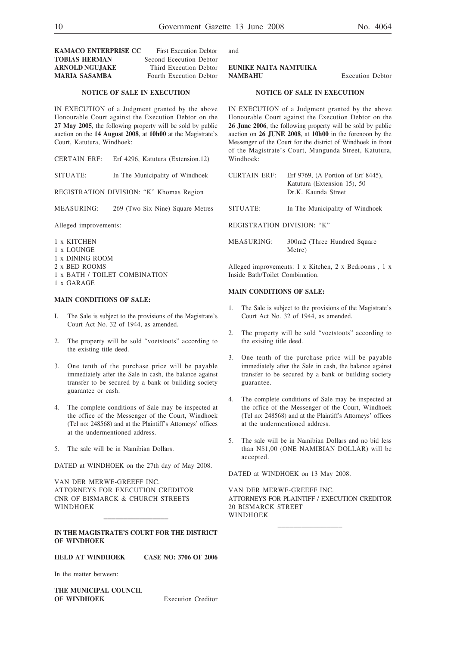#### **KAMACO ENTERPRISE CC** First Execution Debtor **TOBIAS HERMAN** Second Ececution Debtor **ARNOLD NGUJAKE** Third Execution Debtor **MARIA SASAMBA** Fourth Execution Debtor

#### **NOTICE OF SALE IN EXECUTION**

IN EXECUTION of a Judgment granted by the above Honourable Court against the Execution Debtor on the **27 May 2005**, the following property will be sold by public auction on the **14 August 2008**, at **10h00** at the Magistrate's Court, Katutura, Windhoek:

CERTAIN ERF: Erf 4296, Katutura (Extension.12)

SITUATE: In The Municipality of Windhoek

REGISTRATION DIVISION: "K" Khomas Region

MEASURING: 269 (Two Six Nine) Square Metres

Alleged improvements:

- 1 x KITCHEN
- 1 x LOUNGE
- 1 x DINING ROOM
- 2 x BED ROOMS
- 1 x BATH / TOILET COMBINATION
- 1 x GARAGE

#### **MAIN CONDITIONS OF SALE:**

- The Sale is subject to the provisions of the Magistrate's Court Act No. 32 of 1944, as amended.
- 2. The property will be sold "voetstoots" according to the existing title deed.
- 3. One tenth of the purchase price will be payable immediately after the Sale in cash, the balance against transfer to be secured by a bank or building society guarantee or cash.
- 4. The complete conditions of Sale may be inspected at the office of the Messenger of the Court, Windhoek (Tel no: 248568) and at the Plaintiff's Attorneys' offices at the undermentioned address.
- 5. The sale will be in Namibian Dollars.

DATED at WINDHOEK on the 27th day of May 2008.

VAN DER MERWE-GREEFF INC. ATTORNEYS FOR EXECUTION CREDITOR CNR OF BISMARCK & CHURCH STREETS WINDHOEK

#### **IN THE MAGISTRATE'S COURT FOR THE DISTRICT OF WINDHOEK**

\_\_\_\_\_\_\_\_\_\_\_\_\_\_\_\_

**HELD AT WINDHOEK CASE NO: 3706 OF 2006**

In the matter between:

**THE MUNICIPAL COUNCIL OF WINDHOEK** Execution Creditor and

**EUNIKE NAITA NAMTUIKA NAMBAHU** Execution Debtor

#### **NOTICE OF SALE IN EXECUTION**

IN EXECUTION of a Judgment granted by the above Honourable Court against the Execution Debtor on the **26 June 2006**, the following property will be sold by public auction on **26 JUNE 2008**, at **10h00** in the forenoon by the Messenger of the Court for the district of Windhoek in front of the Magistrate's Court, Mungunda Street, Katutura, Windhoek:

| CERTAIN ERF: | Erf 9769, (A Portion of Erf 8445), |
|--------------|------------------------------------|
|              | Katutura (Extension 15), 50        |
|              | Dr.K. Kaunda Street                |

- SITUATE: In The Municipality of Windhoek
- REGISTRATION DIVISION: "K"
- MEASURING: 300m2 (Three Hundred Square Metre)

Alleged improvements: 1 x Kitchen, 2 x Bedrooms , 1 x Inside Bath/Toilet Combination.

#### **MAIN CONDITIONS OF SALE:**

- 1. The Sale is subject to the provisions of the Magistrate's Court Act No. 32 of 1944, as amended.
- 2. The property will be sold "voetstoots" according to the existing title deed.
- 3. One tenth of the purchase price will be payable immediately after the Sale in cash, the balance against transfer to be secured by a bank or building society guarantee.
- 4. The complete conditions of Sale may be inspected at the office of the Messenger of the Court, Windhoek (Tel no: 248568) and at the Plaintiff's Attorneys' offices at the undermentioned address.
- 5. The sale will be in Namibian Dollars and no bid less than N\$1,00 (ONE NAMIBIAN DOLLAR) will be accepted.

DATED at WINDHOEK on 13 May 2008.

VAN DER MERWE-GREEFF INC. ATTORNEYS FOR PLAINTIFF / EXECUTION CREDITOR 20 BISMARCK STREET WINDHOEK

\_\_\_\_\_\_\_\_\_\_\_\_\_\_\_\_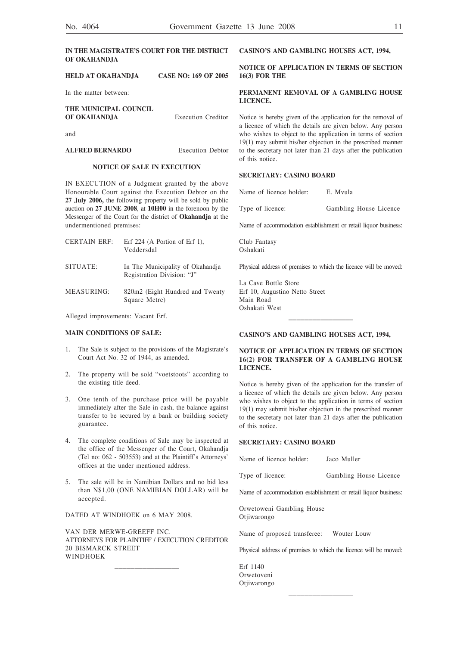#### **IN THE MAGISTRATE'S COURT FOR THE DISTRICT OF OKAHANDJA**

**HELD AT OKAHANDJA CASE NO: 169 OF 2005**

In the matter between:

#### **THE MUNICIPAL COUNCIL OF OKAHANDJA** Execution Creditor

and

#### **ALFRED BERNARDO** Execution Debtor

#### **NOTICE OF SALE IN EXECUTION**

IN EXECUTION of a Judgment granted by the above Honourable Court against the Execution Debtor on the **27 July 2006,** the following property will be sold by public auction on **27 JUNE 2008**, at **10H00** in the forenoon by the Messenger of the Court for the district of **Okahandja** at the undermentioned premises:

CERTAIN ERF: Erf 224 (A Portion of Erf 1), Veddersdal SITUATE: In The Municipality of Okahandja Registration Division: "J" MEASURING: 820m2 (Eight Hundred and Twenty

Square Metre)

## Alleged improvements: Vacant Erf.

#### **MAIN CONDITIONS OF SALE:**

- 1. The Sale is subject to the provisions of the Magistrate's Court Act No. 32 of 1944, as amended.
- 2. The property will be sold "voetstoots" according to the existing title deed.
- 3. One tenth of the purchase price will be payable immediately after the Sale in cash, the balance against transfer to be secured by a bank or building society guarantee.
- 4. The complete conditions of Sale may be inspected at the office of the Messenger of the Court, Okahandja (Tel no: 062 - 503553) and at the Plaintiff's Attorneys' offices at the under mentioned address.
- 5. The sale will be in Namibian Dollars and no bid less than N\$1,00 (ONE NAMIBIAN DOLLAR) will be accepted.

DATED AT WINDHOEK on 6 MAY 2008.

VAN DER MERWE-GREEFF INC. ATTORNEYS FOR PLAINTIFF / EXECUTION CREDITOR 20 BISMARCK STREET WINDHOEK

\_\_\_\_\_\_\_\_\_\_\_\_\_\_\_\_

**CASINO'S AND GAMBLING HOUSES ACT, 1994,**

#### **NOTICE OF APPLICATION IN TERMS OF SECTION 16(3) FOR THE**

#### **PERMANENT REMOVAL OF A GAMBLING HOUSE LICENCE.**

Notice is hereby given of the application for the removal of a licence of which the details are given below. Any person who wishes to object to the application in terms of section 19(1) may submit his/her objection in the prescribed manner to the secretary not later than 21 days after the publication of this notice.

#### **SECRETARY: CASINO BOARD**

Name of licence holder: E. Mvula

| Type of licence:<br>Gambling House Licence |  |  |  |  |  |  |  |
|--------------------------------------------|--|--|--|--|--|--|--|
|--------------------------------------------|--|--|--|--|--|--|--|

Name of accommodation establishment or retail liquor business:

Club Fantasy Oshakati

Physical address of premises to which the licence will be moved:

La Cave Bottle Store Erf 10, Augustino Netto Street Main Road Oshakati West

#### **CASINO'S AND GAMBLING HOUSES ACT, 1994,**

#### **NOTICE OF APPLICATION IN TERMS OF SECTION 16(2) FOR TRANSFER OF A GAMBLING HOUSE LICENCE.**

\_\_\_\_\_\_\_\_\_\_\_\_\_\_\_\_

Notice is hereby given of the application for the transfer of a licence of which the details are given below. Any person who wishes to object to the application in terms of section 19(1) may submit his/her objection in the prescribed manner to the secretary not later than 21 days after the publication of this notice.

#### **SECRETARY: CASINO BOARD**

Name of licence holder: Jaco Muller

Type of licence: Gambling House Licence

Name of accommodation establishment or retail liquor business:

Orwetoweni Gambling House Otjiwarongo

Name of proposed transferee: Wouter Louw

Physical address of premises to which the licence will be moved:

\_\_\_\_\_\_\_\_\_\_\_\_\_\_\_\_

Erf 1140 Orwetoveni Otjiwarongo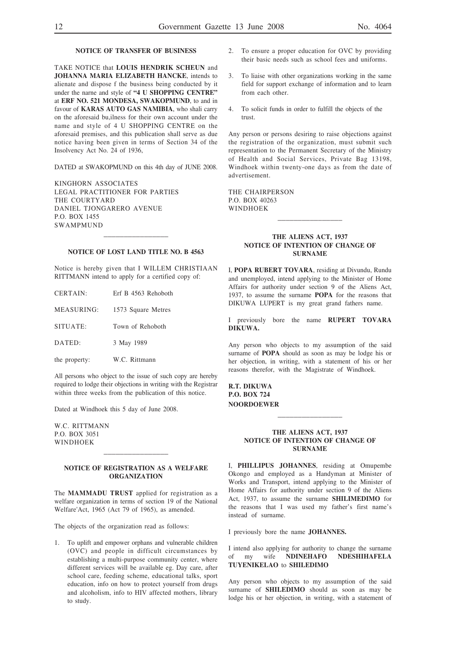#### **NOTICE OF TRANSFER OF BUSINESS**

TAKE NOTICE that **LOUIS HENDRIK SCHEUN** and **JOHANNA MARIA ELIZABETH HANCKE**, intends to alienate and dispose f the business being conducted by it under the narne and style of **"4 U SHOPPING CENTRE"** at **ERF NO. 521 MONDESA, SWAKOPMUND**, to and in favour of **KARAS AUTO GAS NAMIBIA**, who shali carry on the aforesaid bu,ilness for their own account under the name and style of 4 U SHOPPING CENTRE on the aforesaid premises, and this publication shall serve as due notice having been given in terms of Section 34 of the Insolvency Act No. 24 of 1936,

DATED at SWAKOPMUND on this 4th day of JUNE 2008.

KINGHORN ASSOCIATES LEGAL PRACTITIONER FOR PARTIES THE COURTYARD DANIEL TJONGARERO AVENUE P.O. BOX 1455 SWAMPMUND

#### **NOTICE OF LOST LAND TITLE NO. B 4563**

\_\_\_\_\_\_\_\_\_\_\_\_\_\_\_\_

Notice is hereby given that I WILLEM CHRISTIAAN RITTMANN intend to apply for a certified copy of:

| CERTAIN:      | Erf B 4563 Rehoboth |
|---------------|---------------------|
| MEASURING:    | 1573 Square Metres  |
| SITUATE:      | Town of Rehoboth    |
| DATED:        | 3 May 1989          |
| the property: | W.C. Rittmann       |

All persons who object to the issue of such copy are hereby required to lodge their objections in writing with the Registrar within three weeks from the publication of this notice.

Dated at Windhoek this 5 day of June 2008.

W.C. RITTMANN P.O. BOX 3051 WINDHOEK

#### **NOTICE OF REGISTRATION AS A WELFARE ORGANIZATION**

\_\_\_\_\_\_\_\_\_\_\_\_\_\_\_\_

The **MAMMADU TRUST** applied for registration as a welfare organization in terms of section 19 of the National Welfare'Act, 1965 (Act 79 of 1965), as amended.

The objects of the organization read as follows:

1. To uplift and empower orphans and vulnerable children (OVC) and people in difficult circumstances by establishing a multi-purpose community center, where different services will be available eg. Day care, after school care, feeding scheme, educational talks, sport education, info on how to protect yourself from drugs and alcoholism, info to HIV affected mothers, library to study.

- 2. To ensure a proper education for OVC by providing their basic needs such as school fees and uniforms.
- 3. To liaise with other organizations working in the same field for support exchange of information and to learn from each other.
- 4. To solicit funds in order to fulfill the objects of the trust.

Any person or persons desiring to raise objections against the registration of the organization, must submit such representation to the Permanent Secretary of the Ministry of Health and Social Services, Private Bag 13198, Windhoek within twenty-one days as from the date of advertisement.

THE CHAIRPERSON P.O. BOX 40263 WINDHOEK

#### **THE ALIENS ACT, 1937 NOTICE OF INTENTION OF CHANGE OF SURNAME**

\_\_\_\_\_\_\_\_\_\_\_\_\_\_\_\_

I, **POPA RUBERT TOVARA**, residing at Divundu, Rundu and unemployed, intend applying to the Minister of Home Affairs for authority under section 9 of the Aliens Act, 1937, to assume the surname **POPA** for the reasons that DIKUWA LUPERT is my great grand fathers name.

I previously bore the name **RUPERT TOVARA DIKUWA.**

Any person who objects to my assumption of the said surname of **POPA** should as soon as may be lodge his or her objection, in writing, with a statement of his or her reasons therefor, with the Magistrate of Windhoek.

**R.T. DIKUWA P.O. BOX 724 NOORDOEWER**

#### **THE ALIENS ACT, 1937 NOTICE OF INTENTION OF CHANGE OF SURNAME**

\_\_\_\_\_\_\_\_\_\_\_\_\_\_\_\_

I, **PHILLIPUS JOHANNES**, residing at Omupembe Okongo and employed as a Handyman at Minister of Works and Transport, intend applying to the Minister of Home Affairs for authority under section 9 of the Aliens Act, 1937, to assume the surname **SHILIMEDIMO** for the reasons that I was used my father's first name's instead of surname.

I previously bore the name **JOHANNES.**

I intend also applying for authority to change the surname of my wife **NDINEHAFO NDESHIHAFELA TUYENIKELAO** to **SHILEDIMO**

Any person who objects to my assumption of the said surname of **SHILEDIMO** should as soon as may be lodge his or her objection, in writing, with a statement of